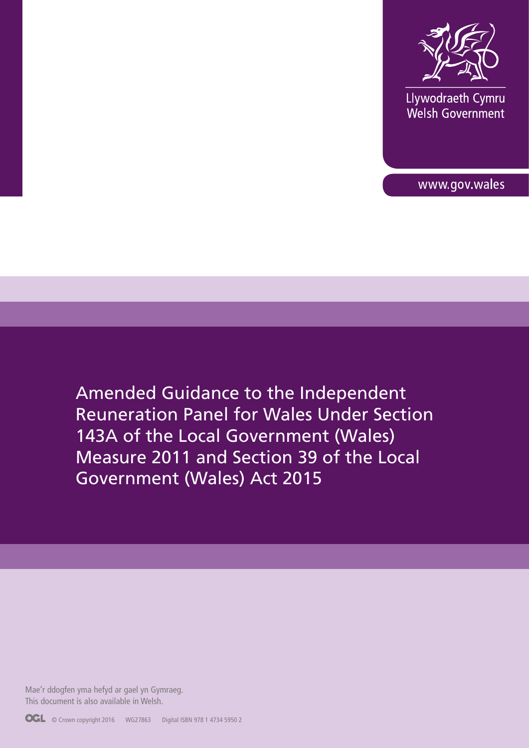

Llywodraeth Cymru **Elywoardedin Cymru**<br>Welsh Government

www.gov.wales

Amended Guidance to the Independent Reuneration Panel for Wales Under Section 143A of the Local Government (Wales) Measure 2011 and Section 39 of the Local Government (Wales) Act 2015

Mae'r ddogfen yma hefyd ar gael yn Gymraeg. This document is also available in Welsh.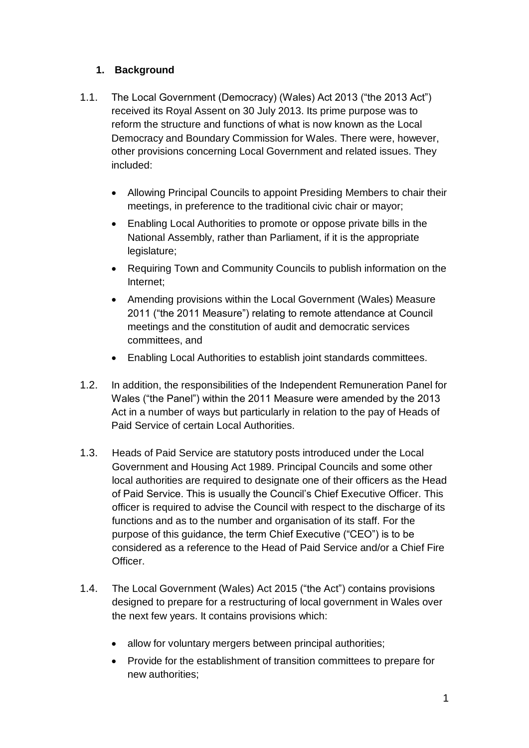## **1. Background**

- 1.1. The Local Government (Democracy) (Wales) Act 2013 ("the 2013 Act") received its Royal Assent on 30 July 2013. Its prime purpose was to reform the structure and functions of what is now known as the Local Democracy and Boundary Commission for Wales. There were, however, other provisions concerning Local Government and related issues. They included:
	- Allowing Principal Councils to appoint Presiding Members to chair their meetings, in preference to the traditional civic chair or mayor;
	- Enabling Local Authorities to promote or oppose private bills in the National Assembly, rather than Parliament, if it is the appropriate legislature;
	- Requiring Town and Community Councils to publish information on the Internet;
	- Amending provisions within the Local Government (Wales) Measure 2011 ("the 2011 Measure") relating to remote attendance at Council meetings and the constitution of audit and democratic services committees, and
	- Enabling Local Authorities to establish joint standards committees.
- 1.2. In addition, the responsibilities of the Independent Remuneration Panel for Wales ("the Panel") within the 2011 Measure were amended by the 2013 Act in a number of ways but particularly in relation to the pay of Heads of Paid Service of certain Local Authorities.
- 1.3. Heads of Paid Service are statutory posts introduced under the Local Government and Housing Act 1989. Principal Councils and some other local authorities are required to designate one of their officers as the Head of Paid Service. This is usually the Council's Chief Executive Officer. This officer is required to advise the Council with respect to the discharge of its functions and as to the number and organisation of its staff. For the purpose of this guidance, the term Chief Executive ("CEO") is to be considered as a reference to the Head of Paid Service and/or a Chief Fire Officer.
- 1.4. The Local Government (Wales) Act 2015 ("the Act") contains provisions designed to prepare for a restructuring of local government in Wales over the next few years. It contains provisions which:
	- allow for voluntary mergers between principal authorities;
	- Provide for the establishment of transition committees to prepare for new authorities;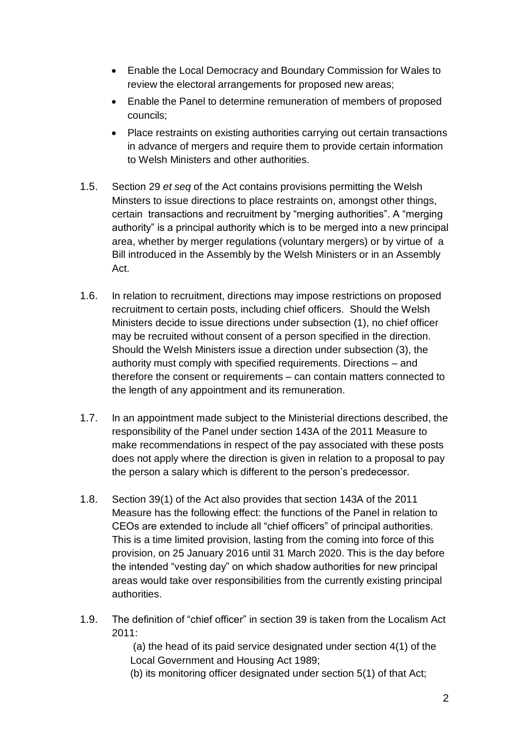- Enable the Local Democracy and Boundary Commission for Wales to review the electoral arrangements for proposed new areas;
- Enable the Panel to determine remuneration of members of proposed councils;
- Place restraints on existing authorities carrying out certain transactions in advance of mergers and require them to provide certain information to Welsh Ministers and other authorities.
- 1.5. Section 29 *et seq* of the Act contains provisions permitting the Welsh Minsters to issue directions to place restraints on, amongst other things, certain transactions and recruitment by "merging authorities". A "merging authority" is a principal authority which is to be merged into a new principal area, whether by merger regulations (voluntary mergers) or by virtue of a Bill introduced in the Assembly by the Welsh Ministers or in an Assembly Act.
- 1.6. In relation to recruitment, directions may impose restrictions on proposed recruitment to certain posts, including chief officers. Should the Welsh Ministers decide to issue directions under subsection (1), no chief officer may be recruited without consent of a person specified in the direction. Should the Welsh Ministers issue a direction under subsection (3), the authority must comply with specified requirements. Directions – and therefore the consent or requirements – can contain matters connected to the length of any appointment and its remuneration.
- 1.7. In an appointment made subject to the Ministerial directions described, the responsibility of the Panel under section 143A of the 2011 Measure to make recommendations in respect of the pay associated with these posts does not apply where the direction is given in relation to a proposal to pay the person a salary which is different to the person's predecessor.
- 1.8. Section 39(1) of the Act also provides that section 143A of the 2011 Measure has the following effect: the functions of the Panel in relation to CEOs are extended to include all "chief officers" of principal authorities. This is a time limited provision, lasting from the coming into force of this provision, on 25 January 2016 until 31 March 2020. This is the day before the intended "vesting day" on which shadow authorities for new principal areas would take over responsibilities from the currently existing principal authorities.
- 1.9. The definition of "chief officer" in section 39 is taken from the Localism Act 2011:

 (a) the head of its paid service designated under section 4(1) of the Local Government and Housing Act 1989;

(b) its monitoring officer designated under section 5(1) of that Act;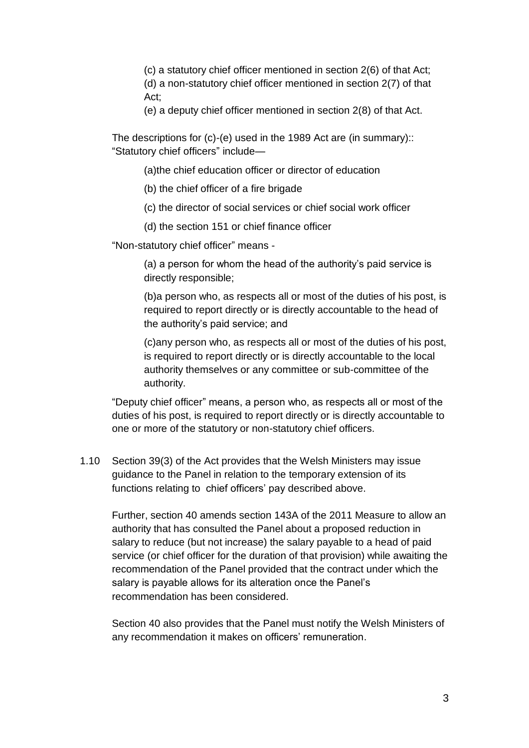(c) a statutory chief officer mentioned in section 2(6) of that Act; (d) a non-statutory chief officer mentioned in section 2(7) of that Act;

(e) a deputy chief officer mentioned in section 2(8) of that Act.

The descriptions for (c)-(e) used in the 1989 Act are (in summary):: "Statutory chief officers" include—

(a)the chief education officer or director of education

(b) the chief officer of a fire brigade

(c) the director of social services or chief social work officer

(d) the section 151 or chief finance officer

"Non-statutory chief officer" means -

(a) a person for whom the head of the authority's paid service is directly responsible;

(b)a person who, as respects all or most of the duties of his post, is required to report directly or is directly accountable to the head of the authority's paid service; and

(c)any person who, as respects all or most of the duties of his post, is required to report directly or is directly accountable to the local authority themselves or any committee or sub-committee of the authority.

"Deputy chief officer" means, a person who, as respects all or most of the duties of his post, is required to report directly or is directly accountable to one or more of the statutory or non-statutory chief officers.

1.10 Section 39(3) of the Act provides that the Welsh Ministers may issue guidance to the Panel in relation to the temporary extension of its functions relating to chief officers' pay described above.

Further, section 40 amends section 143A of the 2011 Measure to allow an authority that has consulted the Panel about a proposed reduction in salary to reduce (but not increase) the salary payable to a head of paid service (or chief officer for the duration of that provision) while awaiting the recommendation of the Panel provided that the contract under which the salary is payable allows for its alteration once the Panel's recommendation has been considered.

Section 40 also provides that the Panel must notify the Welsh Ministers of any recommendation it makes on officers' remuneration.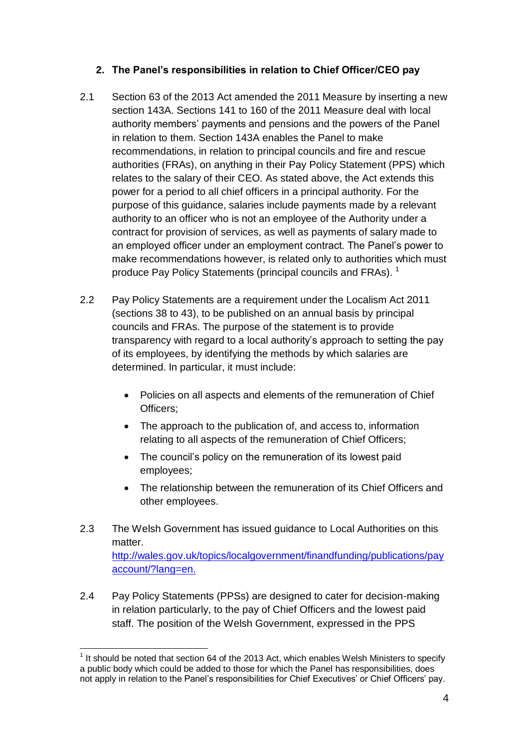## **2. The Panel's responsibilities in relation to Chief Officer/CEO pay**

- 2.1 Section 63 of the 2013 Act amended the 2011 Measure by inserting a new section 143A. Sections 141 to 160 of the 2011 Measure deal with local authority members' payments and pensions and the powers of the Panel in relation to them. Section 143A enables the Panel to make recommendations, in relation to principal councils and fire and rescue authorities (FRAs), on anything in their Pay Policy Statement (PPS) which relates to the salary of their CEO. As stated above, the Act extends this power for a period to all chief officers in a principal authority. For the purpose of this guidance, salaries include payments made by a relevant authority to an officer who is not an employee of the Authority under a contract for provision of services, as well as payments of salary made to an employed officer under an employment contract. The Panel's power to make recommendations however, is related only to authorities which must produce Pay Policy Statements (principal councils and FRAs).<sup>1</sup>
- 2.2 Pay Policy Statements are a requirement under the Localism Act 2011 (sections 38 to 43), to be published on an annual basis by principal councils and FRAs. The purpose of the statement is to provide transparency with regard to a local authority's approach to setting the pay of its employees, by identifying the methods by which salaries are determined. In particular, it must include:
	- Policies on all aspects and elements of the remuneration of Chief Officers;
	- The approach to the publication of, and access to, information relating to all aspects of the remuneration of Chief Officers;
	- The council's policy on the remuneration of its lowest paid employees;
	- The relationship between the remuneration of its Chief Officers and other employees.
- 2.3 The Welsh Government has issued guidance to Local Authorities on this matter [http://wales.gov.uk/topics/localgovernment/finandfunding/publications/pay](http://wales.gov.uk/topics/localgovernment/finandfunding/publications/payaccount/?lang=en.) [account/?lang=en.](http://wales.gov.uk/topics/localgovernment/finandfunding/publications/payaccount/?lang=en.)
- 2.4 Pay Policy Statements (PPSs) are designed to cater for decision-making in relation particularly, to the pay of Chief Officers and the lowest paid staff. The position of the Welsh Government, expressed in the PPS

 $\overline{1}$  $1$  It should be noted that section 64 of the 2013 Act, which enables Welsh Ministers to specify a public body which could be added to those for which the Panel has responsibilities, does not apply in relation to the Panel's responsibilities for Chief Executives' or Chief Officers' pay.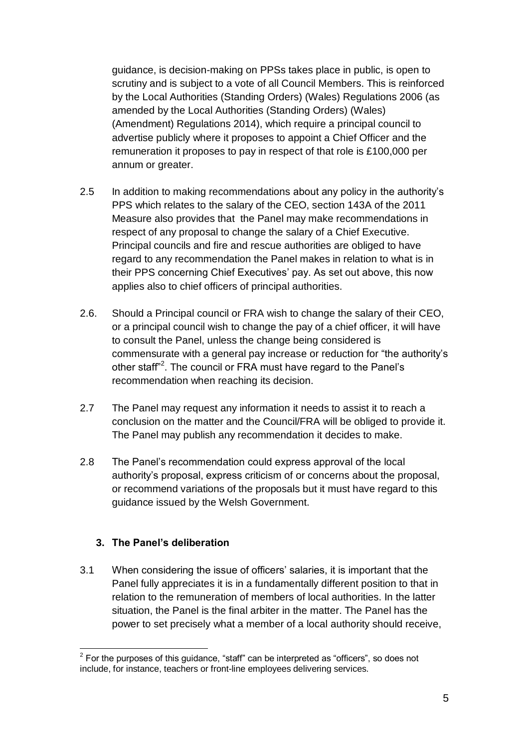guidance, is decision-making on PPSs takes place in public, is open to scrutiny and is subject to a vote of all Council Members. This is reinforced by the Local Authorities (Standing Orders) (Wales) Regulations 2006 (as amended by the Local Authorities (Standing Orders) (Wales) (Amendment) Regulations 2014), which require a principal council to advertise publicly where it proposes to appoint a Chief Officer and the remuneration it proposes to pay in respect of that role is £100,000 per annum or greater.

- 2.5 In addition to making recommendations about any policy in the authority's PPS which relates to the salary of the CEO, section 143A of the 2011 Measure also provides that the Panel may make recommendations in respect of any proposal to change the salary of a Chief Executive. Principal councils and fire and rescue authorities are obliged to have regard to any recommendation the Panel makes in relation to what is in their PPS concerning Chief Executives' pay. As set out above, this now applies also to chief officers of principal authorities.
- 2.6. Should a Principal council or FRA wish to change the salary of their CEO, or a principal council wish to change the pay of a chief officer, it will have to consult the Panel, unless the change being considered is commensurate with a general pay increase or reduction for "the authority's other staff<sup>"2</sup>. The council or FRA must have regard to the Panel's recommendation when reaching its decision.
- 2.7 The Panel may request any information it needs to assist it to reach a conclusion on the matter and the Council/FRA will be obliged to provide it. The Panel may publish any recommendation it decides to make.
- 2.8 The Panel's recommendation could express approval of the local authority's proposal, express criticism of or concerns about the proposal, or recommend variations of the proposals but it must have regard to this guidance issued by the Welsh Government.

## **3. The Panel's deliberation**

3.1 When considering the issue of officers' salaries, it is important that the Panel fully appreciates it is in a fundamentally different position to that in relation to the remuneration of members of local authorities. In the latter situation, the Panel is the final arbiter in the matter. The Panel has the power to set precisely what a member of a local authority should receive,

<sup>————————————————————&</sup>lt;br><sup>2</sup> For the purposes of this guidance, "staff" can be interpreted as "officers", so does not include, for instance, teachers or front-line employees delivering services.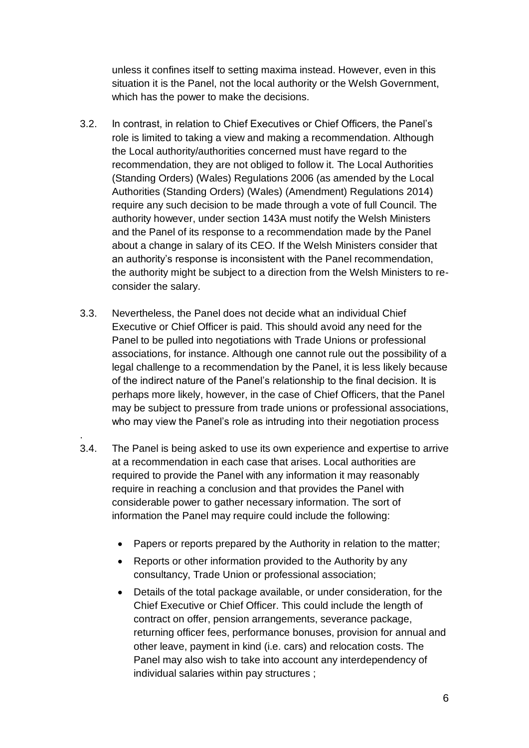unless it confines itself to setting maxima instead. However, even in this situation it is the Panel, not the local authority or the Welsh Government, which has the power to make the decisions.

- 3.2. In contrast, in relation to Chief Executives or Chief Officers, the Panel's role is limited to taking a view and making a recommendation. Although the Local authority/authorities concerned must have regard to the recommendation, they are not obliged to follow it. The Local Authorities (Standing Orders) (Wales) Regulations 2006 (as amended by the Local Authorities (Standing Orders) (Wales) (Amendment) Regulations 2014) require any such decision to be made through a vote of full Council. The authority however, under section 143A must notify the Welsh Ministers and the Panel of its response to a recommendation made by the Panel about a change in salary of its CEO. If the Welsh Ministers consider that an authority's response is inconsistent with the Panel recommendation, the authority might be subject to a direction from the Welsh Ministers to reconsider the salary.
- 3.3. Nevertheless, the Panel does not decide what an individual Chief Executive or Chief Officer is paid. This should avoid any need for the Panel to be pulled into negotiations with Trade Unions or professional associations, for instance. Although one cannot rule out the possibility of a legal challenge to a recommendation by the Panel, it is less likely because of the indirect nature of the Panel's relationship to the final decision. It is perhaps more likely, however, in the case of Chief Officers, that the Panel may be subject to pressure from trade unions or professional associations, who may view the Panel's role as intruding into their negotiation process
- 3.4. The Panel is being asked to use its own experience and expertise to arrive at a recommendation in each case that arises. Local authorities are required to provide the Panel with any information it may reasonably require in reaching a conclusion and that provides the Panel with considerable power to gather necessary information. The sort of information the Panel may require could include the following:

.

- Papers or reports prepared by the Authority in relation to the matter;
- Reports or other information provided to the Authority by any consultancy, Trade Union or professional association;
- Details of the total package available, or under consideration, for the Chief Executive or Chief Officer. This could include the length of contract on offer, pension arrangements, severance package, returning officer fees, performance bonuses, provision for annual and other leave, payment in kind (i.e. cars) and relocation costs. The Panel may also wish to take into account any interdependency of individual salaries within pay structures ;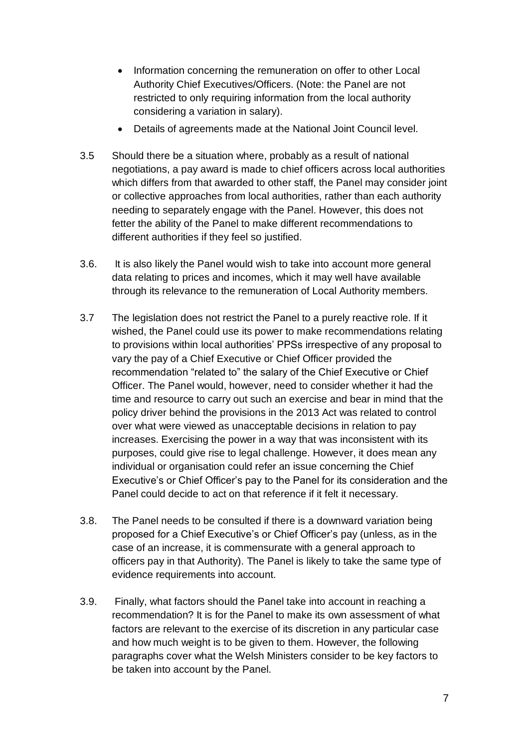- Information concerning the remuneration on offer to other Local Authority Chief Executives/Officers. (Note: the Panel are not restricted to only requiring information from the local authority considering a variation in salary).
- Details of agreements made at the National Joint Council level.
- 3.5 Should there be a situation where, probably as a result of national negotiations, a pay award is made to chief officers across local authorities which differs from that awarded to other staff, the Panel may consider joint or collective approaches from local authorities, rather than each authority needing to separately engage with the Panel. However, this does not fetter the ability of the Panel to make different recommendations to different authorities if they feel so justified.
- 3.6. It is also likely the Panel would wish to take into account more general data relating to prices and incomes, which it may well have available through its relevance to the remuneration of Local Authority members.
- 3.7 The legislation does not restrict the Panel to a purely reactive role. If it wished, the Panel could use its power to make recommendations relating to provisions within local authorities' PPSs irrespective of any proposal to vary the pay of a Chief Executive or Chief Officer provided the recommendation "related to" the salary of the Chief Executive or Chief Officer. The Panel would, however, need to consider whether it had the time and resource to carry out such an exercise and bear in mind that the policy driver behind the provisions in the 2013 Act was related to control over what were viewed as unacceptable decisions in relation to pay increases. Exercising the power in a way that was inconsistent with its purposes, could give rise to legal challenge. However, it does mean any individual or organisation could refer an issue concerning the Chief Executive's or Chief Officer's pay to the Panel for its consideration and the Panel could decide to act on that reference if it felt it necessary.
- 3.8. The Panel needs to be consulted if there is a downward variation being proposed for a Chief Executive's or Chief Officer's pay (unless, as in the case of an increase, it is commensurate with a general approach to officers pay in that Authority). The Panel is likely to take the same type of evidence requirements into account.
- 3.9. Finally, what factors should the Panel take into account in reaching a recommendation? It is for the Panel to make its own assessment of what factors are relevant to the exercise of its discretion in any particular case and how much weight is to be given to them. However, the following paragraphs cover what the Welsh Ministers consider to be key factors to be taken into account by the Panel.